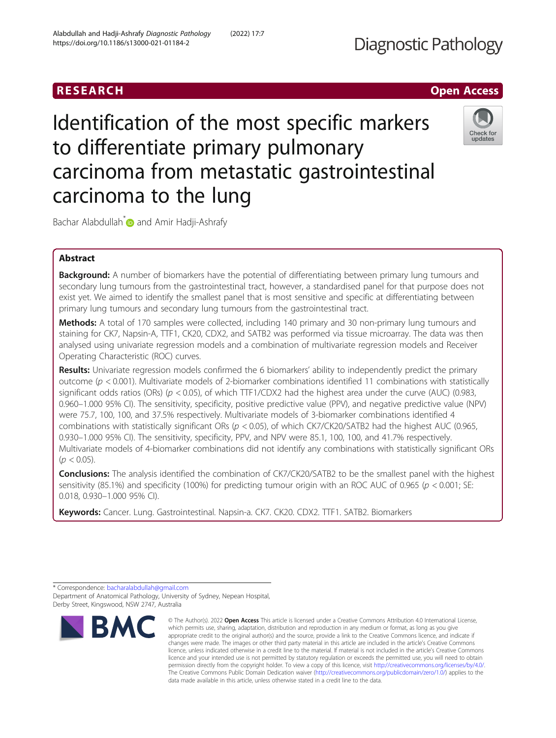# RESEARCH **RESEARCH CHOOSE ACCESS**

Identification of the most specific markers to differentiate primary pulmonary carcinoma from metastatic gastrointestinal carcinoma to the lung



Bachar Alabdullah<sup>\*</sup> and Amir Hadji-Ashrafy

# Abstract

**Background:** A number of biomarkers have the potential of differentiating between primary lung tumours and secondary lung tumours from the gastrointestinal tract, however, a standardised panel for that purpose does not exist yet. We aimed to identify the smallest panel that is most sensitive and specific at differentiating between primary lung tumours and secondary lung tumours from the gastrointestinal tract.

Methods: A total of 170 samples were collected, including 140 primary and 30 non-primary lung tumours and staining for CK7, Napsin-A, TTF1, CK20, CDX2, and SATB2 was performed via tissue microarray. The data was then analysed using univariate regression models and a combination of multivariate regression models and Receiver Operating Characteristic (ROC) curves.

Results: Univariate regression models confirmed the 6 biomarkers' ability to independently predict the primary outcome ( $p < 0.001$ ). Multivariate models of 2-biomarker combinations identified 11 combinations with statistically significant odds ratios (ORs) ( $p < 0.05$ ), of which TTF1/CDX2 had the highest area under the curve (AUC) (0.983, 0.960–1.000 95% CI). The sensitivity, specificity, positive predictive value (PPV), and negative predictive value (NPV) were 75.7, 100, 100, and 37.5% respectively. Multivariate models of 3-biomarker combinations identified 4 combinations with statistically significant ORs ( $p < 0.05$ ), of which CK7/CK20/SATB2 had the highest AUC (0.965, 0.930–1.000 95% CI). The sensitivity, specificity, PPV, and NPV were 85.1, 100, 100, and 41.7% respectively. Multivariate models of 4-biomarker combinations did not identify any combinations with statistically significant ORs  $(p < 0.05)$ .

**Conclusions:** The analysis identified the combination of CK7/CK20/SATB2 to be the smallest panel with the highest sensitivity (85.1%) and specificity (100%) for predicting tumour origin with an ROC AUC of 0.965 ( $p < 0.001$ ; SE: 0.018, 0.930–1.000 95% CI).

Keywords: Cancer. Lung. Gastrointestinal. Napsin-a. CK7. CK20. CDX2. TTF1. SATB2. Biomarkers

<sup>\*</sup> Correspondence: [bacharalabdullah@gmail.com](mailto:bacharalabdullah@gmail.com) Department of Anatomical Pathology, University of Sydney, Nepean Hospital, Derby Street, Kingswood, NSW 2747, Australia



<sup>©</sup> The Author(s), 2022 **Open Access** This article is licensed under a Creative Commons Attribution 4.0 International License, which permits use, sharing, adaptation, distribution and reproduction in any medium or format, as long as you give appropriate credit to the original author(s) and the source, provide a link to the Creative Commons licence, and indicate if changes were made. The images or other third party material in this article are included in the article's Creative Commons licence, unless indicated otherwise in a credit line to the material. If material is not included in the article's Creative Commons licence and your intended use is not permitted by statutory regulation or exceeds the permitted use, you will need to obtain permission directly from the copyright holder. To view a copy of this licence, visit [http://creativecommons.org/licenses/by/4.0/.](http://creativecommons.org/licenses/by/4.0/) The Creative Commons Public Domain Dedication waiver [\(http://creativecommons.org/publicdomain/zero/1.0/](http://creativecommons.org/publicdomain/zero/1.0/)) applies to the data made available in this article, unless otherwise stated in a credit line to the data.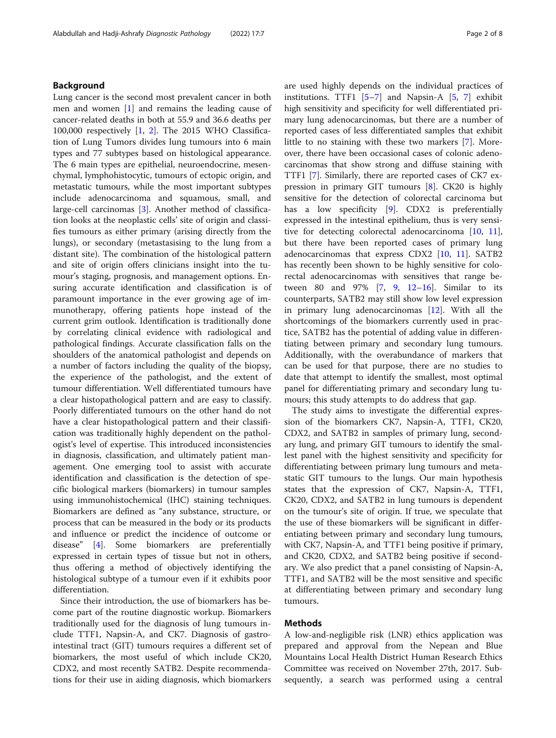# Background

Lung cancer is the second most prevalent cancer in both men and women [\[1\]](#page-7-0) and remains the leading cause of cancer-related deaths in both at 55.9 and 36.6 deaths per 100,000 respectively [[1,](#page-7-0) [2](#page-7-0)]. The 2015 WHO Classification of Lung Tumors divides lung tumours into 6 main types and 77 subtypes based on histological appearance. The 6 main types are epithelial, neuroendocrine, mesenchymal, lymphohistocytic, tumours of ectopic origin, and metastatic tumours, while the most important subtypes include adenocarcinoma and squamous, small, and large-cell carcinomas [\[3](#page-7-0)]. Another method of classification looks at the neoplastic cells' site of origin and classifies tumours as either primary (arising directly from the lungs), or secondary (metastasising to the lung from a distant site). The combination of the histological pattern and site of origin offers clinicians insight into the tumour's staging, prognosis, and management options. Ensuring accurate identification and classification is of paramount importance in the ever growing age of immunotherapy, offering patients hope instead of the current grim outlook. Identification is traditionally done by correlating clinical evidence with radiological and pathological findings. Accurate classification falls on the shoulders of the anatomical pathologist and depends on a number of factors including the quality of the biopsy, the experience of the pathologist, and the extent of tumour differentiation. Well differentiated tumours have a clear histopathological pattern and are easy to classify. Poorly differentiated tumours on the other hand do not have a clear histopathological pattern and their classification was traditionally highly dependent on the pathologist's level of expertise. This introduced inconsistencies in diagnosis, classification, and ultimately patient management. One emerging tool to assist with accurate identification and classification is the detection of specific biological markers (biomarkers) in tumour samples using immunohistochemical (IHC) staining techniques. Biomarkers are defined as "any substance, structure, or process that can be measured in the body or its products and influence or predict the incidence of outcome or disease" [[4\]](#page-7-0). Some biomarkers are preferentially expressed in certain types of tissue but not in others, thus offering a method of objectively identifying the histological subtype of a tumour even if it exhibits poor differentiation.

Since their introduction, the use of biomarkers has become part of the routine diagnostic workup. Biomarkers traditionally used for the diagnosis of lung tumours include TTF1, Napsin-A, and CK7. Diagnosis of gastrointestinal tract (GIT) tumours requires a different set of biomarkers, the most useful of which include CK20, CDX2, and most recently SATB2. Despite recommendations for their use in aiding diagnosis, which biomarkers are used highly depends on the individual practices of institutions. TTF1  $[5-7]$  $[5-7]$  $[5-7]$  $[5-7]$  $[5-7]$  and Napsin-A  $[5, 7]$  $[5, 7]$  $[5, 7]$  exhibit high sensitivity and specificity for well differentiated primary lung adenocarcinomas, but there are a number of reported cases of less differentiated samples that exhibit little to no staining with these two markers [\[7](#page-7-0)]. Moreover, there have been occasional cases of colonic adenocarcinomas that show strong and diffuse staining with TTF1 [\[7](#page-7-0)]. Similarly, there are reported cases of CK7 expression in primary GIT tumours [[8\]](#page-7-0). CK20 is highly sensitive for the detection of colorectal carcinoma but has a low specificity [\[9](#page-7-0)]. CDX2 is preferentially expressed in the intestinal epithelium, thus is very sensitive for detecting colorectal adenocarcinoma [[10,](#page-7-0) [11](#page-7-0)], but there have been reported cases of primary lung adenocarcinomas that express CDX2 [[10](#page-7-0), [11\]](#page-7-0). SATB2 has recently been shown to be highly sensitive for colorectal adenocarcinomas with sensitives that range between 80 and 97% [\[7](#page-7-0), [9](#page-7-0), [12](#page-7-0)–[16](#page-7-0)]. Similar to its counterparts, SATB2 may still show low level expression in primary lung adenocarcinomas [[12](#page-7-0)]. With all the shortcomings of the biomarkers currently used in practice, SATB2 has the potential of adding value in differentiating between primary and secondary lung tumours. Additionally, with the overabundance of markers that can be used for that purpose, there are no studies to date that attempt to identify the smallest, most optimal panel for differentiating primary and secondary lung tumours; this study attempts to do address that gap.

The study aims to investigate the differential expression of the biomarkers CK7, Napsin-A, TTF1, CK20, CDX2, and SATB2 in samples of primary lung, secondary lung, and primary GIT tumours to identify the smallest panel with the highest sensitivity and specificity for differentiating between primary lung tumours and metastatic GIT tumours to the lungs. Our main hypothesis states that the expression of CK7, Napsin-A, TTF1, CK20, CDX2, and SATB2 in lung tumours is dependent on the tumour's site of origin. If true, we speculate that the use of these biomarkers will be significant in differentiating between primary and secondary lung tumours, with CK7, Napsin-A, and TTF1 being positive if primary, and CK20, CDX2, and SATB2 being positive if secondary. We also predict that a panel consisting of Napsin-A, TTF1, and SATB2 will be the most sensitive and specific at differentiating between primary and secondary lung tumours.

# Methods

A low-and-negligible risk (LNR) ethics application was prepared and approval from the Nepean and Blue Mountains Local Health District Human Research Ethics Committee was received on November 27th, 2017. Subsequently, a search was performed using a central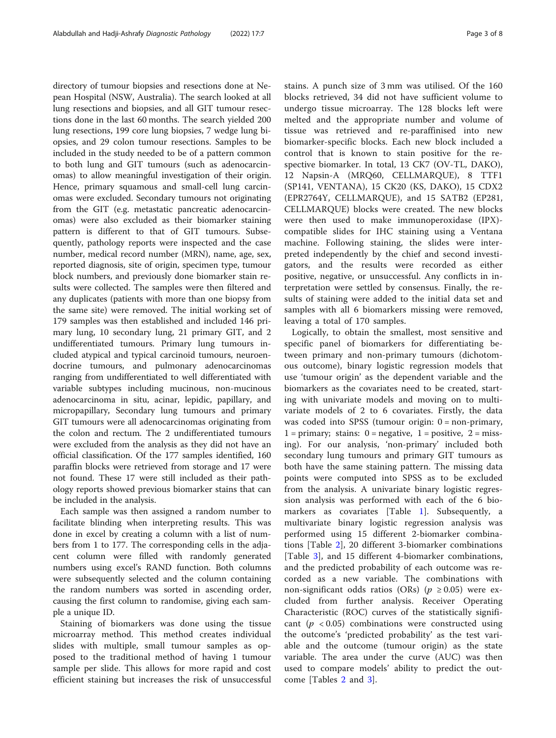directory of tumour biopsies and resections done at Nepean Hospital (NSW, Australia). The search looked at all lung resections and biopsies, and all GIT tumour resections done in the last 60 months. The search yielded 200 lung resections, 199 core lung biopsies, 7 wedge lung biopsies, and 29 colon tumour resections. Samples to be included in the study needed to be of a pattern common to both lung and GIT tumours (such as adenocarcinomas) to allow meaningful investigation of their origin. Hence, primary squamous and small-cell lung carcinomas were excluded. Secondary tumours not originating from the GIT (e.g. metastatic pancreatic adenocarcinomas) were also excluded as their biomarker staining pattern is different to that of GIT tumours. Subsequently, pathology reports were inspected and the case number, medical record number (MRN), name, age, sex, reported diagnosis, site of origin, specimen type, tumour block numbers, and previously done biomarker stain results were collected. The samples were then filtered and any duplicates (patients with more than one biopsy from the same site) were removed. The initial working set of 179 samples was then established and included 146 primary lung, 10 secondary lung, 21 primary GIT, and 2 undifferentiated tumours. Primary lung tumours included atypical and typical carcinoid tumours, neuroendocrine tumours, and pulmonary adenocarcinomas ranging from undifferentiated to well differentiated with variable subtypes including mucinous, non-mucinous adenocarcinoma in situ, acinar, lepidic, papillary, and micropapillary, Secondary lung tumours and primary GIT tumours were all adenocarcinomas originating from the colon and rectum. The 2 undifferentiated tumours were excluded from the analysis as they did not have an official classification. Of the 177 samples identified, 160 paraffin blocks were retrieved from storage and 17 were not found. These 17 were still included as their pathology reports showed previous biomarker stains that can be included in the analysis.

Each sample was then assigned a random number to facilitate blinding when interpreting results. This was done in excel by creating a column with a list of numbers from 1 to 177. The corresponding cells in the adjacent column were filled with randomly generated numbers using excel's RAND function. Both columns were subsequently selected and the column containing the random numbers was sorted in ascending order, causing the first column to randomise, giving each sample a unique ID.

Staining of biomarkers was done using the tissue microarray method. This method creates individual slides with multiple, small tumour samples as opposed to the traditional method of having 1 tumour sample per slide. This allows for more rapid and cost efficient staining but increases the risk of unsuccessful stains. A punch size of 3 mm was utilised. Of the 160 blocks retrieved, 34 did not have sufficient volume to undergo tissue microarray. The 128 blocks left were melted and the appropriate number and volume of tissue was retrieved and re-paraffinised into new biomarker-specific blocks. Each new block included a control that is known to stain positive for the respective biomarker. In total, 13 CK7 (OV-TL, DAKO), 12 Napsin-A (MRQ60, CELLMARQUE), 8 TTF1 (SP141, VENTANA), 15 CK20 (KS, DAKO), 15 CDX2 (EPR2764Y, CELLMARQUE), and 15 SATB2 (EP281, CELLMARQUE) blocks were created. The new blocks were then used to make immunoperoxidase (IPX) compatible slides for IHC staining using a Ventana machine. Following staining, the slides were interpreted independently by the chief and second investigators, and the results were recorded as either positive, negative, or unsuccessful. Any conflicts in interpretation were settled by consensus. Finally, the results of staining were added to the initial data set and samples with all 6 biomarkers missing were removed, leaving a total of 170 samples.

Logically, to obtain the smallest, most sensitive and specific panel of biomarkers for differentiating between primary and non-primary tumours (dichotomous outcome), binary logistic regression models that use 'tumour origin' as the dependent variable and the biomarkers as the covariates need to be created, starting with univariate models and moving on to multivariate models of 2 to 6 covariates. Firstly, the data was coded into SPSS (tumour origin: 0 = non-primary,  $1 =$  primary; stains:  $0 =$  negative,  $1 =$  positive,  $2 =$  missing). For our analysis, 'non-primary' included both secondary lung tumours and primary GIT tumours as both have the same staining pattern. The missing data points were computed into SPSS as to be excluded from the analysis. A univariate binary logistic regression analysis was performed with each of the 6 biomarkers as covariates [Table [1](#page-3-0)]. Subsequently, a multivariate binary logistic regression analysis was performed using 15 different 2-biomarker combinations [Table [2\]](#page-3-0), 20 different 3-biomarker combinations [Table [3\]](#page-4-0), and 15 different 4-biomarker combinations, and the predicted probability of each outcome was recorded as a new variable. The combinations with non-significant odds ratios (ORs) ( $p \ge 0.05$ ) were excluded from further analysis. Receiver Operating Characteristic (ROC) curves of the statistically significant ( $p < 0.05$ ) combinations were constructed using the outcome's 'predicted probability' as the test variable and the outcome (tumour origin) as the state variable. The area under the curve (AUC) was then used to compare models' ability to predict the outcome [Tables [2](#page-3-0) and [3\]](#page-4-0).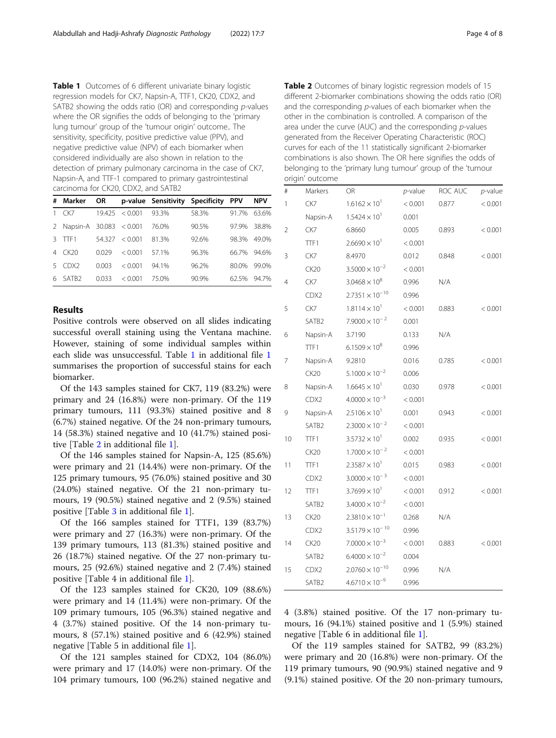<span id="page-3-0"></span>

| # | Marker                    | <b>OR</b> |              | p-value Sensitivity Specificity |       | <b>PPV</b> | <b>NPV</b> |
|---|---------------------------|-----------|--------------|---------------------------------|-------|------------|------------|
|   | CK7                       | 19.425    | ${}_{0.001}$ | 93.3%                           | 58.3% | 91.7%      | 63.6%      |
|   | 2 Napsin-A 30.083 < 0.001 |           |              | 76.0%                           | 90.5% | 97.9%      | 38.8%      |
|   | TTF1                      | 54.327    | < 0.001      | 813%                            | 92.6% | 98.3%      | 49.0%      |
| 4 | CK20                      | 0029      | < 0.001      | 571%                            | 96.3% | 66.7%      | 94.6%      |
|   | CDX <sub>2</sub>          | 0.003     | < 0.001      | 94 1%                           | 96.2% | 80.0%      | 99.0%      |
| 6 | SATB <sub>2</sub>         | 0.033     | < 0.001      | 75.0%                           | 90.9% | 62.5%      | 947%       |

# Results

Positive controls were observed on all slides indicating successful overall staining using the Ventana machine. However, staining of some individual samples within each slide was unsuccessful. Table 1 in additional file [1](#page-6-0) summarises the proportion of successful stains for each biomarker.

Of the 143 samples stained for CK7, 119 (83.2%) were primary and 24 (16.8%) were non-primary. Of the 119 primary tumours, 111 (93.3%) stained positive and 8 (6.7%) stained negative. Of the 24 non-primary tumours, 14 (58.3%) stained negative and 10 (41.7%) stained positive [Table 2 in additional file [1\]](#page-6-0).

Of the 146 samples stained for Napsin-A, 125 (85.6%) were primary and 21 (14.4%) were non-primary. Of the 125 primary tumours, 95 (76.0%) stained positive and 30 (24.0%) stained negative. Of the 21 non-primary tumours, 19 (90.5%) stained negative and 2 (9.5%) stained positive [Table [3](#page-4-0) in additional file [1\]](#page-6-0).

Of the 166 samples stained for TTF1, 139 (83.7%) were primary and 27 (16.3%) were non-primary. Of the 139 primary tumours, 113 (81.3%) stained positive and 26 (18.7%) stained negative. Of the 27 non-primary tumours, 25 (92.6%) stained negative and 2 (7.4%) stained positive [Table 4 in additional file [1\]](#page-6-0).

Of the 123 samples stained for CK20, 109 (88.6%) were primary and 14 (11.4%) were non-primary. Of the 109 primary tumours, 105 (96.3%) stained negative and 4 (3.7%) stained positive. Of the 14 non-primary tumours, 8 (57.1%) stained positive and 6 (42.9%) stained negative [Table 5 in additional file [1\]](#page-6-0).

Of the 121 samples stained for CDX2, 104 (86.0%) were primary and 17 (14.0%) were non-primary. Of the 104 primary tumours, 100 (96.2%) stained negative and Table 2 Outcomes of binary logistic regression models of 15 different 2-biomarker combinations showing the odds ratio (OR) and the corresponding  $p$ -values of each biomarker when the other in the combination is controlled. A comparison of the area under the curve (AUC) and the corresponding  $p$ -values generated from the Receiver Operating Characteristic (ROC) curves for each of the 11 statistically significant 2-biomarker combinations is also shown. The OR here signifies the odds of belonging to the 'primary lung tumour' group of the 'tumour origin' outcome

| #              | Markers           | OR                       | $p$ -value | ROC AUC | $p$ -value |
|----------------|-------------------|--------------------------|------------|---------|------------|
| 1              | CK7               | $1.6162 \times 10^{1}$   | < 0.001    | 0.877   | < 0.001    |
|                | Napsin-A          | $1.5424 \times 10^{1}$   | 0.001      |         |            |
| $\overline{2}$ | CK7               | 6.8660                   | 0.005      | 0.893   | < 0.001    |
|                | TTF1              | $2.6690 \times 10^{1}$   | < 0.001    |         |            |
| 3              | CK7               | 8.4970                   | 0.012      | 0.848   | < 0.001    |
|                | CK20              | $3.5000 \times 10^{-2}$  | < 0.001    |         |            |
| 4              | CK7               | $3.0468 \times 10^8$     | 0.996      | N/A     |            |
|                | CDX <sub>2</sub>  | $2.7351 \times 10^{-10}$ | 0.996      |         |            |
| 5              | CK7               | $1.8114 \times 10^{1}$   | < 0.001    | 0.883   | < 0.001    |
|                | SATB2             | $7.9000 \times 10^{-2}$  | 0.001      |         |            |
| 6              | Napsin-A          | 3.7190                   | 0.133      | N/A     |            |
|                | TTF1              | $6.1509 \times 10^{8}$   | 0.996      |         |            |
| 7              | Napsin-A          | 9.2810                   | 0.016      | 0.785   | < 0.001    |
|                | CK20              | $5.1000 \times 10^{-2}$  | 0.006      |         |            |
| 8              | Napsin-A          | $1.6645 \times 10^{1}$   | 0.030      | 0.978   | < 0.001    |
|                | CDX2              | $4.0000 \times 10^{-3}$  | < 0.001    |         |            |
| 9              | Napsin-A          | $2.5106 \times 10^{1}$   | 0.001      | 0.943   | < 0.001    |
|                | SATB <sub>2</sub> | $2.3000 \times 10^{-2}$  | < 0.001    |         |            |
| 10             | TTF1              | $3.5732 \times 10^{1}$   | 0.002      | 0.935   | < 0.001    |
|                | CK20              | $1.7000 \times 10^{-2}$  | < 0.001    |         |            |
| 11             | TTF1              | $2.3587 \times 10^{1}$   | 0.015      | 0.983   | < 0.001    |
|                | CDX2              | $3.0000 \times 10^{-3}$  | < 0.001    |         |            |
| 12             | TTF1              | $3.7699 \times 10^{1}$   | < 0.001    | 0.912   | < 0.001    |
|                | SATB <sub>2</sub> | $3.4000 \times 10^{-2}$  | < 0.001    |         |            |
| 13             | CK20              | $2.3810 \times 10^{-1}$  | 0.268      | N/A     |            |
|                | CDX2              | $3.5179 \times 10^{-10}$ | 0.996      |         |            |
| 14             | CK20              | $7.0000 \times 10^{-3}$  | < 0.001    | 0.883   | < 0.001    |
|                | SATB <sub>2</sub> | $6.4000 \times 10^{-2}$  | 0.004      |         |            |
| 15             | CDX2              | $2.0760 \times 10^{-10}$ | 0.996      | N/A     |            |
|                | SATB <sub>2</sub> | $4.6710 \times 10^{-9}$  | 0.996      |         |            |

4 (3.8%) stained positive. Of the 17 non-primary tumours, 16 (94.1%) stained positive and 1 (5.9%) stained negative [Table 6 in additional file [1\]](#page-6-0).

Of the 119 samples stained for SATB2, 99 (83.2%) were primary and 20 (16.8%) were non-primary. Of the 119 primary tumours, 90 (90.9%) stained negative and 9 (9.1%) stained positive. Of the 20 non-primary tumours,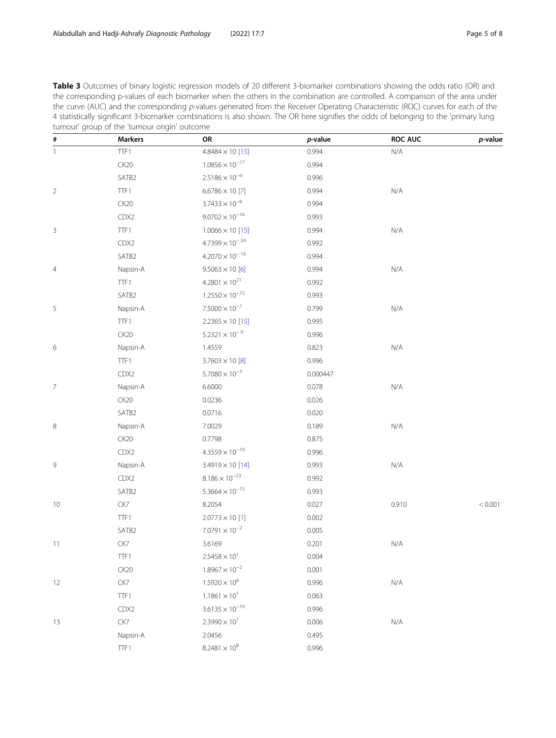<span id="page-4-0"></span>

| Table 3 Outcomes of binary logistic regression models of 20 different 3-biomarker combinations showing the odds ratio (OR) and       |
|--------------------------------------------------------------------------------------------------------------------------------------|
| the corresponding p-values of each biomarker when the others in the combination are controlled. A comparison of the area under       |
| the curve (AUC) and the corresponding p-values generated from the Receiver Operating Characteristic (ROC) curves for each of the     |
| 4 statistically significant 3-biomarker combinations is also shown. The OR here signifies the odds of belonging to the 'primary lung |
| tumour' group of the 'tumour origin' outcome                                                                                         |

| $\#$           | <b>Markers</b> | OR                       | p-value  | ROC AUC                 | p-value |
|----------------|----------------|--------------------------|----------|-------------------------|---------|
| $\mathbf{1}$   | TTF1           | $4.8484 \times 10$ [15]  | 0.994    | $\mathsf{N}/\mathsf{A}$ |         |
|                | CK20           | $1.0856 \times 10^{-17}$ | 0.994    |                         |         |
|                | SATB2          | $2.5186 \times 10^{-9}$  | 0.996    |                         |         |
| $\overline{2}$ | TTF1           | $6.6786 \times 10$ [7]   | 0.994    | $\mathsf{N}/\mathsf{A}$ |         |
|                | CK20           | $3.7433 \times 10^{-8}$  | 0.994    |                         |         |
|                | CDX2           | $9.0702 \times 10^{-16}$ | 0.993    |                         |         |
| 3              | TTF1           | $1.0066 \times 10$ [15]  | 0.994    | $\mathsf{N}/\mathsf{A}$ |         |
|                | CDX2           | $4.7399 \times 10^{-24}$ | 0.992    |                         |         |
|                | SATB2          | $4.2070 \times 10^{-16}$ | 0.994    |                         |         |
| 4              | Napsin-A       | $9.5063 \times 10[6]$    | 0.994    | $\mathsf{N}/\mathsf{A}$ |         |
|                | TTF1           | $4.2801 \times 10^{21}$  | 0.992    |                         |         |
|                | SATB2          | $1.2550 \times 10^{-15}$ | 0.993    |                         |         |
| 5              | Napsin-A       | $7.5000 \times 10^{-1}$  | 0.799    | $\mathsf{N}/\mathsf{A}$ |         |
|                | TTF1           | $2.2365 \times 10$ [15]  | 0.995    |                         |         |
|                | <b>CK20</b>    | $5.2321 \times 10^{-9}$  | 0.996    |                         |         |
| 6              | Napsin-A       | 1.4559                   | 0.823    | $\mathsf{N}/\mathsf{A}$ |         |
|                | TTF1           | $3.7603 \times 10[8]$    | 0.996    |                         |         |
|                | CDX2           | $5.7080 \times 10^{-3}$  | 0.000447 |                         |         |
| $\overline{7}$ | Napsin-A       | 6.6000                   | 0.078    | $\mathsf{N}/\mathsf{A}$ |         |
|                | CK20           | 0.0236                   | 0.026    |                         |         |
|                | SATB2          | 0.0716                   | 0.020    |                         |         |
| 8              | Napsin-A       | 7.0029                   | 0.189    | $\mathsf{N}/\mathsf{A}$ |         |
|                | <b>CK20</b>    | 0.7798                   | 0.875    |                         |         |
|                | CDX2           | $4.3559 \times 10^{-10}$ | 0.996    |                         |         |
| 9              | Napsin-A       | $3.4919 \times 10$ [14]  | 0.993    | $\mathsf{N}/\mathsf{A}$ |         |
|                | CDX2           | $8.186 \times 10^{-23}$  | 0.992    |                         |         |
|                | SATB2          | $5.3664 \times 10^{-15}$ | 0.993    |                         |         |
| 10             | CK7            | 8.2054                   | 0.027    | 0.910                   | < 0.001 |
|                | TTF1           | $2.0773 \times 10$ [1]   | 0.002    |                         |         |
|                | SATB2          | $7.0791 \times 10^{-2}$  | 0.005    |                         |         |
| 11             | CK7            | 3.6169                   | 0.201    | $\mathsf{N}/\mathsf{A}$ |         |
|                | TTF1           | $2.5458 \times 10^{1}$   | 0.004    |                         |         |
|                | CK20           | $1.8967 \times 10^{-2}$  | 0.001    |                         |         |
| 12             | ${\sf CK7}$    | $1.5920 \times 10^{8}$   | 0.996    | $\mathsf{N}/\mathsf{A}$ |         |
|                | TTF1           | $1.1861 \times 10^{1}$   | 0.063    |                         |         |
|                | CDX2           | $3.6135 \times 10^{-10}$ | 0.996    |                         |         |
| 13             | CK7            | $2.3990 \times 10^{1}$   | 0.006    | N/A                     |         |
|                | Napsin-A       | 2.0456                   | 0.495    |                         |         |
|                | TTF1           | $8.2481 \times 10^{8}$   | 0.996    |                         |         |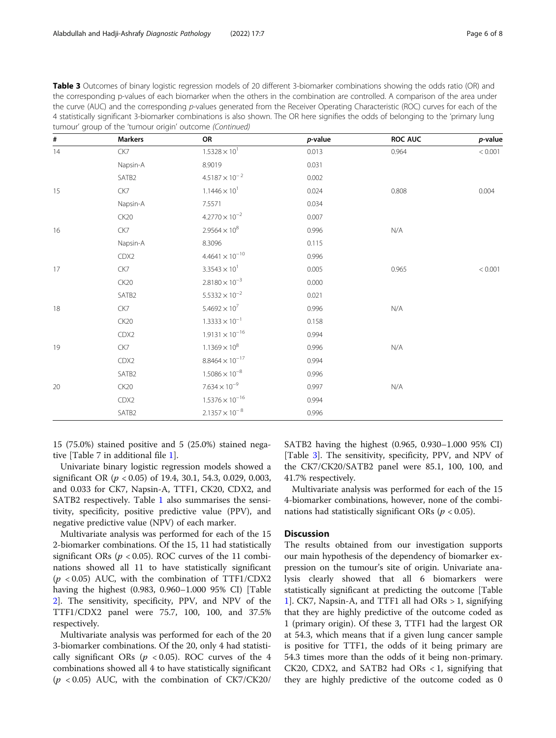|    | tumour' group of the 'tumour origin' outcome (Continued) | the corresponding p-values of each biomarker when the others in the combination are controlled. A comparison of the area under<br>the curve (AUC) and the corresponding p-values generated from the Receiver Operating Characteristic (ROC) curves for each of the<br>4 statistically significant 3-biomarker combinations is also shown. The OR here signifies the odds of belonging to the 'primary lung |                 |         |                 |
|----|----------------------------------------------------------|------------------------------------------------------------------------------------------------------------------------------------------------------------------------------------------------------------------------------------------------------------------------------------------------------------------------------------------------------------------------------------------------------------|-----------------|---------|-----------------|
| #  | <b>Markers</b>                                           | ΟR                                                                                                                                                                                                                                                                                                                                                                                                         | <i>p</i> -value | ROC AUC | <i>p</i> -value |
| 14 | CK7                                                      | $1.5328 \times 10^{1}$                                                                                                                                                                                                                                                                                                                                                                                     | 0.013           | 0.964   | < 0.001         |
|    | Napsin-A                                                 | 8.9019                                                                                                                                                                                                                                                                                                                                                                                                     | 0.031           |         |                 |

15 CK7 1.1446 $\times$  10<sup>1</sup> 0.024 0.808 0.004 0.808 0.004

SATB2  $4.5187 \times 10^{-2}$  0.002

Napsin-A 7.5571 0.034  $CK20$   $4.2770 \times 10^{-2}$  0.007 16 CK7 CK7 2.9564 $\times$  10<sup>8</sup> 0.996 N/A

| Table 3 Outcomes of binary logistic regression models of 20 different 3-biomarker combinations showing the odds ratio (OR) and       |
|--------------------------------------------------------------------------------------------------------------------------------------|
| the corresponding p-values of each biomarker when the others in the combination are controlled. A comparison of the area under       |
| the curve (AUC) and the corresponding p-values generated from the Receiver Operating Characteristic (ROC) curves for each of the     |
| 4 statistically significant 3-biomarker combinations is also shown. The OR here signifies the odds of belonging to the 'primary lung |
| tumour' aroup of the 'tumour origin' outcome (Continued)                                                                             |

| $4.4641 \times 10^{-10}$<br>CDX2<br>0.996<br>$3.3543 \times 10^{1}$<br>17<br>CK7<br>0.005<br>0.965<br>< 0.001<br>$2.8180 \times 10^{-3}$<br>CK20<br>0.000<br>$5.5332 \times 10^{-2}$<br>SATB <sub>2</sub><br>0.021<br>$5.4692 \times 10^{7}$<br>18<br>CK7<br>0.996<br>N/A<br>$1.3333 \times 10^{-1}$<br>CK20<br>0.158<br>$1.9131 \times 10^{-16}$<br>CDX2<br>0.994<br>$1.1369 \times 10^8$<br>CK7<br>19<br>0.996<br>N/A<br>$8.8464 \times 10^{-17}$<br>CDX2<br>0.994<br>$1.5086 \times 10^{-8}$<br>SATB2<br>0.996<br>$7.634 \times 10^{-9}$<br>20<br>CK20<br>0.997<br>N/A<br>$1.5376 \times 10^{-16}$<br>CDX2<br>0.994<br>$2.1357 \times 10^{-8}$<br>SATB2<br>0.996 | Napsin-A | 8.3096 | 0.115 |  |
|---------------------------------------------------------------------------------------------------------------------------------------------------------------------------------------------------------------------------------------------------------------------------------------------------------------------------------------------------------------------------------------------------------------------------------------------------------------------------------------------------------------------------------------------------------------------------------------------------------------------------------------------------------------------|----------|--------|-------|--|
|                                                                                                                                                                                                                                                                                                                                                                                                                                                                                                                                                                                                                                                                     |          |        |       |  |
|                                                                                                                                                                                                                                                                                                                                                                                                                                                                                                                                                                                                                                                                     |          |        |       |  |
|                                                                                                                                                                                                                                                                                                                                                                                                                                                                                                                                                                                                                                                                     |          |        |       |  |
|                                                                                                                                                                                                                                                                                                                                                                                                                                                                                                                                                                                                                                                                     |          |        |       |  |
|                                                                                                                                                                                                                                                                                                                                                                                                                                                                                                                                                                                                                                                                     |          |        |       |  |
|                                                                                                                                                                                                                                                                                                                                                                                                                                                                                                                                                                                                                                                                     |          |        |       |  |
|                                                                                                                                                                                                                                                                                                                                                                                                                                                                                                                                                                                                                                                                     |          |        |       |  |
|                                                                                                                                                                                                                                                                                                                                                                                                                                                                                                                                                                                                                                                                     |          |        |       |  |
|                                                                                                                                                                                                                                                                                                                                                                                                                                                                                                                                                                                                                                                                     |          |        |       |  |
|                                                                                                                                                                                                                                                                                                                                                                                                                                                                                                                                                                                                                                                                     |          |        |       |  |
|                                                                                                                                                                                                                                                                                                                                                                                                                                                                                                                                                                                                                                                                     |          |        |       |  |
|                                                                                                                                                                                                                                                                                                                                                                                                                                                                                                                                                                                                                                                                     |          |        |       |  |
|                                                                                                                                                                                                                                                                                                                                                                                                                                                                                                                                                                                                                                                                     |          |        |       |  |

15 (75.0%) stained positive and 5 (25.0%) stained negative [Table 7 in additional file [1\]](#page-6-0).

Univariate binary logistic regression models showed a significant OR (p < 0.05) of 19.4, 30.1, 54.3, 0.029, 0.003, and 0.033 for CK7, Napsin-A, TTF1, CK20, CDX2, and SATB2 respectively. Table [1](#page-3-0) also summarises the sensitivity, specificity, positive predictive value (PPV), and negative predictive value (NPV) of each marker.

Multivariate analysis was performed for each of the 15 2-biomarker combinations. Of the 15, 11 had statistically significant ORs ( $p < 0.05$ ). ROC curves of the 11 combinations showed all 11 to have statistically significant  $(p < 0.05)$  AUC, with the combination of TTF1/CDX2 having the highest (0.983, 0.960–1.000 95% CI) [Table [2\]](#page-3-0). The sensitivity, specificity, PPV, and NPV of the TTF1/CDX2 panel were 75.7, 100, 100, and 37.5% respectively.

Multivariate analysis was performed for each of the 20 3-biomarker combinations. Of the 20, only 4 had statistically significant ORs ( $p < 0.05$ ). ROC curves of the 4 combinations showed all 4 to have statistically significant  $(p \lt 0.05)$  AUC, with the combination of CK7/CK20/ SATB2 having the highest (0.965, 0.930–1.000 95% CI) [Table [3\]](#page-4-0). The sensitivity, specificity, PPV, and NPV of the CK7/CK20/SATB2 panel were 85.1, 100, 100, and 41.7% respectively.

Multivariate analysis was performed for each of the 15 4-biomarker combinations, however, none of the combinations had statistically significant ORs ( $p < 0.05$ ).

# **Discussion**

The results obtained from our investigation supports our main hypothesis of the dependency of biomarker expression on the tumour's site of origin. Univariate analysis clearly showed that all 6 biomarkers were statistically significant at predicting the outcome [Table [1\]](#page-3-0). CK7, Napsin-A, and TTF1 all had ORs > 1, signifying that they are highly predictive of the outcome coded as 1 (primary origin). Of these 3, TTF1 had the largest OR at 54.3, which means that if a given lung cancer sample is positive for TTF1, the odds of it being primary are 54.3 times more than the odds of it being non-primary. CK20, CDX2, and SATB2 had ORs  $\lt 1$ , signifying that they are highly predictive of the outcome coded as 0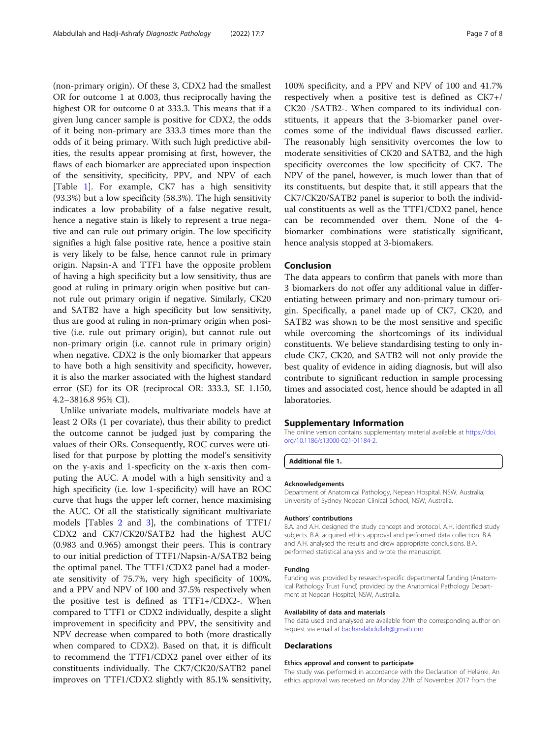<span id="page-6-0"></span>(non-primary origin). Of these 3, CDX2 had the smallest OR for outcome 1 at 0.003, thus reciprocally having the highest OR for outcome 0 at 333.3. This means that if a given lung cancer sample is positive for CDX2, the odds of it being non-primary are 333.3 times more than the odds of it being primary. With such high predictive abilities, the results appear promising at first, however, the flaws of each biomarker are appreciated upon inspection of the sensitivity, specificity, PPV, and NPV of each [Table [1](#page-3-0)]. For example, CK7 has a high sensitivity (93.3%) but a low specificity (58.3%). The high sensitivity indicates a low probability of a false negative result, hence a negative stain is likely to represent a true negative and can rule out primary origin. The low specificity signifies a high false positive rate, hence a positive stain is very likely to be false, hence cannot rule in primary origin. Napsin-A and TTF1 have the opposite problem of having a high specificity but a low sensitivity, thus are good at ruling in primary origin when positive but cannot rule out primary origin if negative. Similarly, CK20 and SATB2 have a high specificity but low sensitivity, thus are good at ruling in non-primary origin when positive (i.e. rule out primary origin), but cannot rule out non-primary origin (i.e. cannot rule in primary origin) when negative. CDX2 is the only biomarker that appears to have both a high sensitivity and specificity, however, it is also the marker associated with the highest standard error (SE) for its OR (reciprocal OR: 333.3, SE 1.150, 4.2–3816.8 95% CI).

Unlike univariate models, multivariate models have at least 2 ORs (1 per covariate), thus their ability to predict the outcome cannot be judged just by comparing the values of their ORs. Consequently, ROC curves were utilised for that purpose by plotting the model's sensitivity on the y-axis and 1-specficity on the x-axis then computing the AUC. A model with a high sensitivity and a high specificity (i.e. low 1-specificity) will have an ROC curve that hugs the upper left corner, hence maximising the AUC. Of all the statistically significant multivariate models [Tables [2](#page-3-0) and [3\]](#page-4-0), the combinations of TTF1/ CDX2 and CK7/CK20/SATB2 had the highest AUC (0.983 and 0.965) amongst their peers. This is contrary to our initial prediction of TTF1/Napsin-A/SATB2 being the optimal panel. The TTF1/CDX2 panel had a moderate sensitivity of 75.7%, very high specificity of 100%, and a PPV and NPV of 100 and 37.5% respectively when the positive test is defined as TTF1+/CDX2-. When compared to TTF1 or CDX2 individually, despite a slight improvement in specificity and PPV, the sensitivity and NPV decrease when compared to both (more drastically when compared to CDX2). Based on that, it is difficult to recommend the TTF1/CDX2 panel over either of its constituents individually. The CK7/CK20/SATB2 panel improves on TTF1/CDX2 slightly with 85.1% sensitivity,

100% specificity, and a PPV and NPV of 100 and 41.7% respectively when a positive test is defined as CK7+/ CK20−/SATB2-. When compared to its individual constituents, it appears that the 3-biomarker panel overcomes some of the individual flaws discussed earlier. The reasonably high sensitivity overcomes the low to moderate sensitivities of CK20 and SATB2, and the high specificity overcomes the low specificity of CK7. The NPV of the panel, however, is much lower than that of its constituents, but despite that, it still appears that the CK7/CK20/SATB2 panel is superior to both the individual constituents as well as the TTF1/CDX2 panel, hence can be recommended over them. None of the 4 biomarker combinations were statistically significant, hence analysis stopped at 3-biomakers.

# Conclusion

The data appears to confirm that panels with more than 3 biomarkers do not offer any additional value in differentiating between primary and non-primary tumour origin. Specifically, a panel made up of CK7, CK20, and SATB2 was shown to be the most sensitive and specific while overcoming the shortcomings of its individual constituents. We believe standardising testing to only include CK7, CK20, and SATB2 will not only provide the best quality of evidence in aiding diagnosis, but will also contribute to significant reduction in sample processing times and associated cost, hence should be adapted in all laboratories.

## Supplementary Information

The online version contains supplementary material available at [https://doi.](https://doi.org/10.1186/s13000-021-01184-2) [org/10.1186/s13000-021-01184-2.](https://doi.org/10.1186/s13000-021-01184-2)

Additional file 1.

#### Acknowledgements

Department of Anatomical Pathology, Nepean Hospital, NSW, Australia; University of Sydney Nepean Clinical School, NSW, Australia.

### Authors' contributions

B.A. and A.H. designed the study concept and protocol. A.H. identified study subjects. B.A. acquired ethics approval and performed data collection. B.A. and A.H. analysed the results and drew appropriate conclusions. B.A. performed statistical analysis and wrote the manuscript.

#### Funding

Funding was provided by research-specific departmental funding (Anatomical Pathology Trust Fund) provided by the Anatomical Pathology Department at Nepean Hospital, NSW, Australia.

#### Availability of data and materials

The data used and analysed are available from the corresponding author on request via email at [bacharalabdullah@gmail.com.](mailto:bacharalabdullah@gmail.com)

#### Declarations

#### Ethics approval and consent to participate

The study was performed in accordance with the Declaration of Helsinki. An ethics approval was received on Monday 27th of November 2017 from the